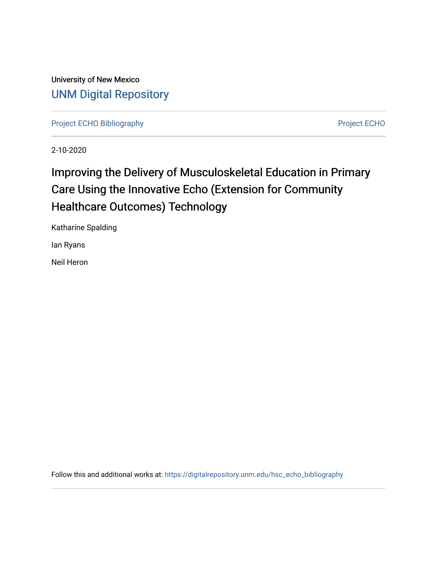University of New Mexico [UNM Digital Repository](https://digitalrepository.unm.edu/) 

[Project ECHO Bibliography](https://digitalrepository.unm.edu/hsc_echo_bibliography) **Project ECHO** 

2-10-2020

# Improving the Delivery of Musculoskeletal Education in Primary Care Using the Innovative Echo (Extension for Community Healthcare Outcomes) Technology

Katharine Spalding

Ian Ryans

Neil Heron

Follow this and additional works at: [https://digitalrepository.unm.edu/hsc\\_echo\\_bibliography](https://digitalrepository.unm.edu/hsc_echo_bibliography?utm_source=digitalrepository.unm.edu%2Fhsc_echo_bibliography%2F180&utm_medium=PDF&utm_campaign=PDFCoverPages)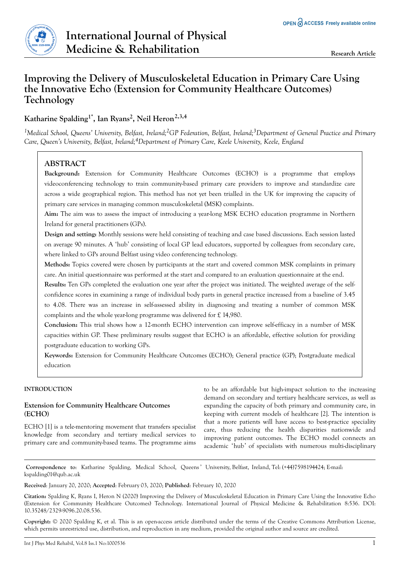

## **Improving the Delivery of Musculoskeletal Education in Primary Care Using the Innovative Echo (Extension for Community Healthcare Outcomes) Technology**

**Katharine Spalding1\*, Ian Ryans<sup>2</sup> , Neil Heron2,3,4**

*<sup>1</sup>Medical School, Queens' University, Belfast, Ireland;2GP Federation, Belfast, Ireland;3Department of General Practice and Primary Care, Queen's University, Belfast, Ireland;4Department of Primary Care, Keele University, Keele, England*

## **ABSTRACT**

**Background:** Extension for Community Healthcare Outcomes (ECHO) is a programme that employs videoconferencing technology to train community-based primary care providers to improve and standardize care across a wide geographical region. This method has not yet been trialled in the UK for improving the capacity of primary care services in managing common musculoskeletal (MSK) complaints.

**Aim:** The aim was to assess the impact of introducing a year-long MSK ECHO education programme in Northern Ireland for general practitioners (GPs).

**Design and setting:** Monthly sessions were held consisting of teaching and case based discussions. Each session lasted on average 90 minutes. A 'hub' consisting of local GP lead educators, supported by colleagues from secondary care, where linked to GPs around Belfast using video conferencing technology.

**Methods:** Topics covered were chosen by participants at the start and covered common MSK complaints in primary care. An initial questionnaire was performed at the start and compared to an evaluation questionnaire at the end.

**Results:** Ten GPs completed the evaluation one year after the project was initiated. The weighted average of the selfconfidence scores in examining a range of individual body parts in general practice increased from a baseline of 3.45 to 4.08. There was an increase in self-assessed ability in diagnosing and treating a number of common MSK complaints and the whole year-long programme was delivered for £ 14,980.

**Conclusion:** This trial shows how a 12-month ECHO intervention can improve self-efficacy in a number of MSK capacities within GP. These preliminary results suggest that ECHO is an affordable, effective solution for providing postgraduate education to working GPs.

**Keywords:** Extension for Community Healthcare Outcomes (ECHO); General practice (GP); Postgraduate medical education

## **INTRODUCTION**

## **Extension for Community Healthcare Outcomes (ECHO)**

ECHO [1] is a tele-mentoring movement that transfers specialist knowledge from secondary and tertiary medical services to primary care and community-based teams. The programme aims

to be an affordable but high-impact solution to the increasing demand on secondary and tertiary healthcare services, as well as expanding the capacity of both primary and community care, in keeping with current models of healthcare [2]. The intention is that a more patients will have access to best-practice speciality care, thus reducing the health disparities nationwide and improving patient outcomes. The ECHO model connects an academic 'hub' of specialists with numerous multi-disciplinary

**Correspondence to**: Katharine Spalding, Medical School, Queens ' University, Belfast, Ireland, Tel: (+44)7598194424; E-mail: kspalding01@qub.ac.uk

**Received**: January 20, 2020; **Accepted**: February 03, 2020; **Published**: February 10, 2020

**Citation:** Spalding K, Ryans I, Heron N (2020) Improving the Delivery of Musculoskeletal Education in Primary Care Using the Innovative Echo (Extension for Community Healthcare Outcomes) Technology. International Journal of Physical Medicine & Rehabilitation 8:536. DOI: 10.35248/2329-9096.20.08.536.

**Copyright:** © 2020 Spalding K, et al. This is an open-access article distributed under the terms of the Creative Commons Attribution License, which permits unrestricted use, distribution, and reproduction in any medium, provided the original author and source are credited.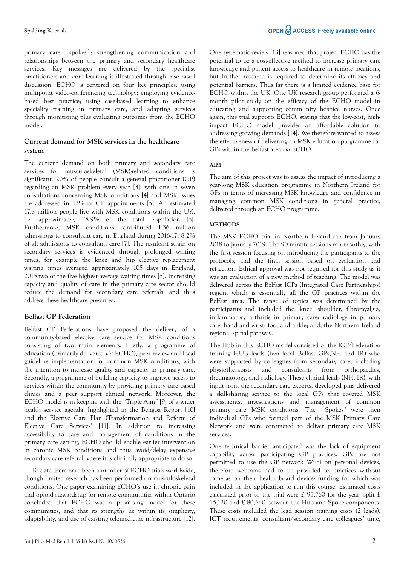primary care 'spokes'; strengthening communication and relationships between the primary and secondary healthcare services. Key messages are delivered by the specialist practitioners and core learning is illustrated through case-based discussion. ECHO is centered on four key principles: using multipoint video-conferencing technology; employing evidencebased best practice; using case-based learning to enhance speciality training in primary care; and adapting services through monitoring plus evaluating outcomes from the ECHO model.

## **Current demand for MSK services in the healthcare system**

The current demand on both primary and secondary care services for musculoskeletal (MSK)-related conditions is significant. 20% of people consult a general practitioner (GP) regarding an MSK problem every year [3], with one in seven consultations concerning MSK conditions [4] and MSK issues are addressed in 12% of GP appointments [5]. An estimated 17.8 million people live with MSK conditions within the UK, i.e. approximately 28.9% of the total population [6]. Furthermore, MSK conditions contributed 1.36 million admissions to consultant care in England during 2016-17; 8.2% of all admissions to consultant care [7]. The resultant strain on secondary services is evidenced through prolonged waiting times, for example the knee and hip elective replacement waiting times averaged approximately 105 days in England, 2015-two of the five highest average waiting times [8]. Increasing capacity and quality of care in the primary care sector should reduce the demand for secondary care referrals, and thus address these healthcare pressures.

## **Belfast GP Federation**

Belfast GP Federations have proposed the delivery of a community-based elective care service for MSK conditions consisting of two main elements. Firstly, a programme of education (primarily delivered *via* ECHO), peer review and local guideline implementation for common MSK conditions, with the intention to increase quality and capacity in primary care. Secondly, a programme of building capacity to improve access to services within the community by providing primary care based clinics and a peer support clinical network. Moreover, the ECHO model is in keeping with the "Triple Aim" [9] of a wider health service agenda, highlighted in the Bengoa Report [10] and the Elective Care Plan (Transformation and Reform of Elective Care Services) [11]. In addition to increasing accessibility to care and management of conditions in the primary care setting, ECHO should enable earlier intervention in chronic MSK conditions and thus avoid/delay expensive secondary care referral where it is clinically appropriate to do so.

To date there have been a number of ECHO trials worldwide, though limited research has been performed on musculoskeletal conditions. One paper examining ECHO's use in chronic pain and opioid stewardship for remote communities within Ontario concluded that ECHO was a promising model for these communities, and that its strengths lie within its simplicity, adaptability, and use of existing telemedicine infrastructure [12]. One systematic review [13] reasoned that project ECHO has the potential to be a cost-effective method to increase primary care knowledge and patient access to healthcare in remote locations, but further research is required to determine its efficacy and potential barriers. Thus far there is a limited evidence base for ECHO within the UK. One UK research group performed a 6 month pilot study on the efficacy of the ECHO model in educating and supporting community hospice nurses. Once again, this trial supports ECHO, stating that the low-cost, highimpact ECHO model provides an affordable solution to addressing growing demands [14]. We therefore wanted to assess the effectiveness of delivering an MSK education programme for GPs within the Belfast area *via* ECHO.

## **AIM**

The aim of this project was to assess the impact of introducing a year-long MSK education programme in Northern Ireland for GPs in terms of increasing MSK knowledge and confidence in managing common MSK conditions in general practice, delivered through an ECHO programme.

## **METHODS**

The MSK ECHO trial in Northern Ireland ran from January 2018 to January 2019. The 90 minute sessions ran monthly, with the first session focusing on introducing the participants to the protocols, and the final session based on evaluation and reflection. Ethical approval was not required for this study as it was an evaluation of a new method of teaching. The model was delivered across the Belfast ICPs (Integrated Care Partnerships) region, which is essentially all the GP practices within the Belfast area. The range of topics was determined by the participants and included the: knee; shoulder; fibromyalgia; inflammatory arthritis in primary care; radiology in primary care; hand and wrist; foot and ankle; and, the Northern Ireland regional spinal pathway.

The Hub in this ECHO model consisted of the ICP/Federation training HUB leads (two local Belfast GPs,NH and IR) who were supported by colleagues from secondary care, including physiotherapists and consultants from orthopaedics, rheumatology, and radiology. These clinical leads (NH, IR), with input from the secondary care experts, developed plus delivered a skill-sharing service to the local GPs that covered MSK assessments, investigations and management of common primary care MSK conditions. The 'Spokes' were then individual GPs who formed part of the MSK Primary Care Network and were contracted to deliver primary care MSK services.

One technical barrier anticipated was the lack of equipment capability across participating GP practices. GPs are not permitted to use the GP network Wi-Fi on personal devices, therefore webcams had to be provided to practices without cameras on their health board device- funding for which was included in the application to run this course. Estimated costs calculated prior to the trial were £ 95,760 for the year; split £ 15,120 and £ 80,640 between the Hub and Spoke components. These costs included the lead session training costs (2 leads), ICT requirements, consultant/secondary care colleagues' time,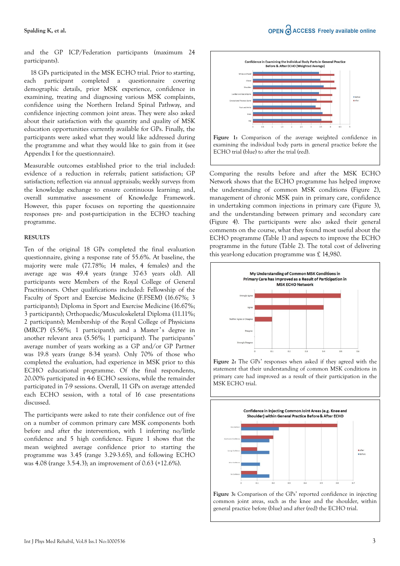## **Spalding K, et al.**

and the GP ICP/Federation participants (maximum 24 participants).

18 GPs participated in the MSK ECHO trial. Prior to starting, each participant completed a questionnaire covering demographic details, prior MSK experience, confidence in examining, treating and diagnosing various MSK complaints, confidence using the Northern Ireland Spinal Pathway, and confidence injecting common joint areas. They were also asked about their satisfaction with the quantity and quality of MSK education opportunities currently available for GPs. Finally, the participants were asked what they would like addressed during the programme and what they would like to gain from it (see Appendix I for the questionnaire).

Measurable outcomes established prior to the trial included: evidence of a reduction in referrals; patient satisfaction; GP satisfaction; reflection *via* annual appraisals; weekly surveys from the knowledge exchange to ensure continuous learning; and, overall summative assessment of Knowledge Framework. However, this paper focuses on reporting the questionnaire responses pre- and post-participation in the ECHO teaching programme.

## **RESULTS**

Ten of the original 18 GPs completed the final evaluation questionnaire, giving a response rate of 55.6%. At baseline, the majority were male (77.78%; 14 males, 4 females) and the average age was 49.4 years (range 37-63 years old). All participants were Members of the Royal College of General Practitioners. Other qualifications included: Fellowship of the Faculty of Sport and Exercise Medicine (F.FSEM) (16.67%; 3 participants); Diploma in Sport and Exercise Medicine (16.67%; 3 participants); Orthopaedic/Musculoskeletal Diploma (11.11%; 2 participants); Membership of the Royal College of Physicians (MRCP) (5.56%; 1 participant); and a Master's degree in another relevant area (5.56%; 1 participant). The participants' average number of years working as a GP and/or GP Partner was 19.8 years (range 8-34 years). Only 70% of those who completed the evaluation, had experience in MSK prior to this ECHO educational programme. Of the final respondents, 20.00% participated in 4-6 ECHO sessions, while the remainder participated in 7-9 sessions. Overall, 11 GPs on average attended each ECHO session, with a total of 16 case presentations discussed.

The participants were asked to rate their confidence out of five on a number of common primary care MSK components both before and after the intervention, with 1 inferring no/little confidence and 5 high confidence. Figure 1 shows that the mean weighted average confidence prior to starting the programme was 3.45 (range 3.29-3.65), and following ECHO was 4.08 (range 3.5-4.3); an improvement of 0.63 (+12.6%).



examining the individual body parts in general practice before the ECHO trial (blue) to after the trial (red).

Comparing the results before and after the MSK ECHO Network shows that the ECHO programme has helped improve the understanding of common MSK conditions (Figure 2), management of chronic MSK pain in primary care, confidence in undertaking common injections in primary care (Figure 3), and the understanding between primary and secondary care (Figure 4). The participants were also asked their general comments on the course, what they found most useful about the ECHO programme (Table 1) and aspects to improve the ECHO programme in the future (Table 2). The total cost of delivering this year-long education programme was £ 14,980.



**Figure 2:** The GPs' responses when asked if they agreed with the statement that their understanding of common MSK conditions in primary care had improved as a result of their participation in the MSK ECHO trial.



**Figure 3:** Comparison of the GPs' reported confidence in injecting common joint areas, such as the knee and the shoulder, within general practice before (blue) and after (red) the ECHO trial.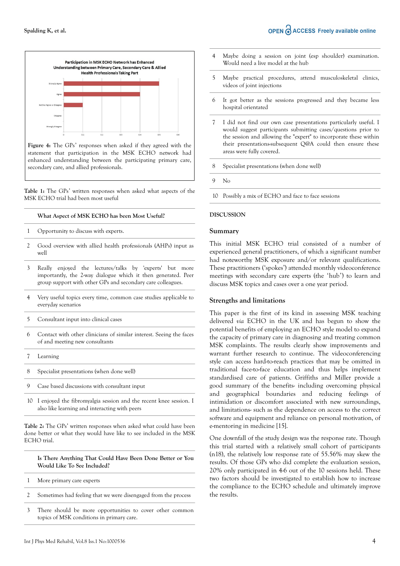

**Figure 4:** The GPs' responses when asked if they agreed with the statement that participation in the MSK ECHO network had enhanced understanding between the participating primary care, secondary care, and allied professionals.

**Table 1:** The GPs' written responses when asked what aspects of the MSK ECHO trial had been most useful

#### **What Aspect of MSK ECHO has been Most Useful?**

- 1 Opportunity to discuss with experts.
- 2 Good overview with allied health professionals (AHPs) input as well
- 3 Really enjoyed the lectures/talks by 'experts' but more importantly, the 2-way dialogue which it then generated. Peer group support with other GPs and secondary care colleagues.
- 4 Very useful topics every time, common case studies applicable to everyday scenarios
- 5 Consultant input into clinical cases
- 6 Contact with other clinicians of similar interest. Seeing the faces of and meeting new consultants
- 7 Learning
- 8 Specialist presentations (when done well)
- 9 Case based discussions with consultant input
- 10 I enjoyed the fibromyalgia session and the recent knee session. I also like learning and interacting with peers

**Table 2:** The GPs' written responses when asked what could have been done better or what they would have like to see included in the MSK ECHO trial.

**Is There Anything That Could Have Been Done Better or You Would Like To See Included?**

- 1 More primary care experts
- 2 Sometimes had feeling that we were disengaged from the process
- 3 There should be more opportunities to cover other common topics of MSK conditions in primary care.
- 4 Maybe doing a session on joint (esp shoulder) examination. Would need a live model at the hub
- 5 Maybe practical procedures, attend musculoskeletal clinics, videos of joint injections
- 6 It got better as the sessions progressed and they became less hospital orientated
- 7 I did not find our own case presentations particularly useful. I would suggest participants submitting cases/questions prior to the session and allowing the "expert" to incorporate these within their presentations-subsequent Q@A could then ensure these areas were fully covered.
- 8 Specialist presentations (when done well)
- 9 No
- 10 Possibly a mix of ECHO and face to face sessions

#### **DISCUSSION**

#### **Summary**

This initial MSK ECHO trial consisted of a number of experienced general practitioners, of which a significant number had noteworthy MSK exposure and/or relevant qualifications. These practitioners ('spokes') attended monthly videoconference meetings with secondary care experts (the 'hub') to learn and discuss MSK topics and cases over a one year period.

## **Strengths and limitations**

This paper is the first of its kind in assessing MSK teaching delivered *via* ECHO in the UK and has begun to show the potential benefits of employing an ECHO style model to expand the capacity of primary care in diagnosing and treating common MSK complaints. The results clearly show improvements and warrant further research to continue. The videoconferencing style can access hard-to-reach practices that may be omitted in traditional face-to-face education and thus helps implement standardised care of patients. Griffiths and Miller provide a good summary of the benefits- including overcoming physical and geographical boundaries and reducing feelings of intimidation or discomfort associated with new surroundings, and limitations- such as the dependence on access to the correct software and equipment and reliance on personal motivation, of e-mentoring in medicine [15].

One downfall of the study design was the response rate. Though this trial started with a relatively small cohort of participants (n18), the relatively low response rate of 55.56% may skew the results. Of those GPs who did complete the evaluation session, 20% only participated in 4-6 out of the 10 sessions held. These two factors should be investigated to establish how to increase the compliance to the ECHO schedule and ultimately improve the results.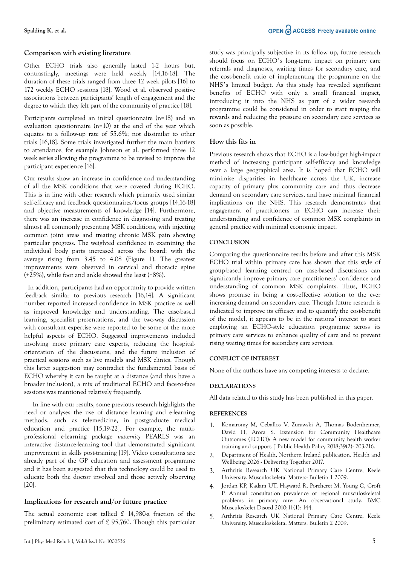## OPEN C ACCESS Freely available online

## **Comparison with existing literature**

Other ECHO trials also generally lasted 1-2 hours but, contrastingly, meetings were held weekly [14,16-18]. The duration of these trials ranged from three 12 week pilots [16] to 172 weekly ECHO sessions [18]. Wood et al. observed positive associations between participants' length of engagement and the degree to which they felt part of the community of practice [18].

Participants completed an initial questionnaire (n=18) and an evaluation questionnaire (n=10) at the end of the year which equates to a follow-up rate of 55.6%; not dissimilar to other trials [16,18]. Some trials investigated further the main barriers to attendance, for example Johnson et al. performed three 12 week series allowing the programme to be revised to improve the participant experience [16].

Our results show an increase in confidence and understanding of all the MSK conditions that were covered during ECHO. This is in line with other research which primarily used similar self-efficacy and feedback questionnaires/focus groups [14,16-18] and objective measurements of knowledge [14]. Furthermore, there was an increase in confidence in diagnosing and treating almost all commonly presenting MSK conditions, with injecting common joint areas and treating chronic MSK pain showing particular progress. The weighted confidence in examining the individual body parts increased across the board; with the average rising from 3.45 to 4.08 (Figure 1). The greatest improvements were observed in cervical and thoracic spine (+25%), while foot and ankle showed the least (+8%).

 In addition, participants had an opportunity to provide written feedback similar to previous research [16,14]. A significant number reported increased confidence in MSK practice as well as improved knowledge and understanding. The case-based learning, specialist presentations, and the two-way discussion with consultant expertise were reported to be some of the more helpful aspects of ECHO. Suggested improvements included involving more primary care experts, reducing the hospitalorientation of the discussions, and the future inclusion of practical sessions such as live models and MSK clinics. Though this latter suggestion may contradict the fundamental basis of ECHO whereby it can be taught at a distance (and thus have a broader inclusion), a mix of traditional ECHO and face-to-face sessions was mentioned relatively frequently.

In line with our results, some previous research highlights the need or analyses the use of distance learning and e-learning methods, such as telemedicine, in postgraduate medical education and practice [15,19-22]. For example, the multiprofessional e-learning package *maternity* PEARLS was an interactive distance-learning tool that demonstrated significant improvement in skills post-training [19]. Video consultations are already part of the GP education and assessment programme and it has been suggested that this technology could be used to educate both the doctor involved and those actively observing [20].

## **Implications for research and/or future practice**

The actual economic cost tallied £ 14,980-a fraction of the preliminary estimated cost of £ 95,760. Though this particular study was principally subjective in its follow up, future research should focus on ECHO's long-term impact on primary care referrals and diagnoses, waiting times for secondary care, and the cost-benefit ratio of implementing the programme on the NHS's limited budget. As this study has revealed significant benefits of ECHO with only a small financial impact, introducing it into the NHS as part of a wider research programme could be considered in order to start reaping the rewards and reducing the pressure on secondary care services as soon as possible.

## **How this fits in**

Previous research shows that ECHO is a low-budget high-impact method of increasing participant self-efficacy and knowledge over a large geographical area. It is hoped that ECHO will minimise disparities in healthcare across the UK, increase capacity of primary plus community care and thus decrease demand on secondary care services, and have minimal financial implications on the NHS. This research demonstrates that engagement of practitioners in ECHO can increase their understanding and confidence of common MSK complaints in general practice with minimal economic impact.

## **CONCLUSION**

Comparing the questionnaire results before and after this MSK ECHO trial within primary care has shown that this style of group-based learning centred on case-based discussions can significantly improve primary care practitioners' confidence and understanding of common MSK complaints. Thus, ECHO shows promise in being a cost-effective solution to the ever increasing demand on secondary care. Though future research is indicated to improve its efficacy and to quantify the cost-benefit of the model, it appears to be in the nations' interest to start employing an ECHO-style education programme across its primary care services to enhance quality of care and to prevent rising waiting times for secondary care services.

## **CONFLICT OF INTEREST**

None of the authors have any competing interests to declare.

## **DECLARATIONS**

All data related to this study has been published in this paper.

## **REFERENCES**

- 1. Komaromy M, Ceballos V, Zurawski A, Thomas Bodenheimer, David H, Arora S. Extension for Community Healthcare Outcomes (ECHO): A new model for community health worker training and support. J Public Health Policy 2018;39(2): 203-216.
- 2. Department of Health, Northern Ireland publication. Health and Wellbeing 2026 - Delivering Together 2017.
- 3. Arthritis Research UK National Primary Care Centre, Keele University. Musculoskeletal Matters: Bulletin 1 2009.
- 4. Jordan KP, Kadam UT, Hayward R, Porcheret M, Young C, Croft P. Annual consultation prevalence of regional musculoskeletal problems in primary care: An observational study. BMC Musculoskelet Disord 2010;11(1): 144.
- 5. Arthritis Research UK National Primary Care Centre, Keele University. Musculoskeletal Matters: Bulletin 2 2009.